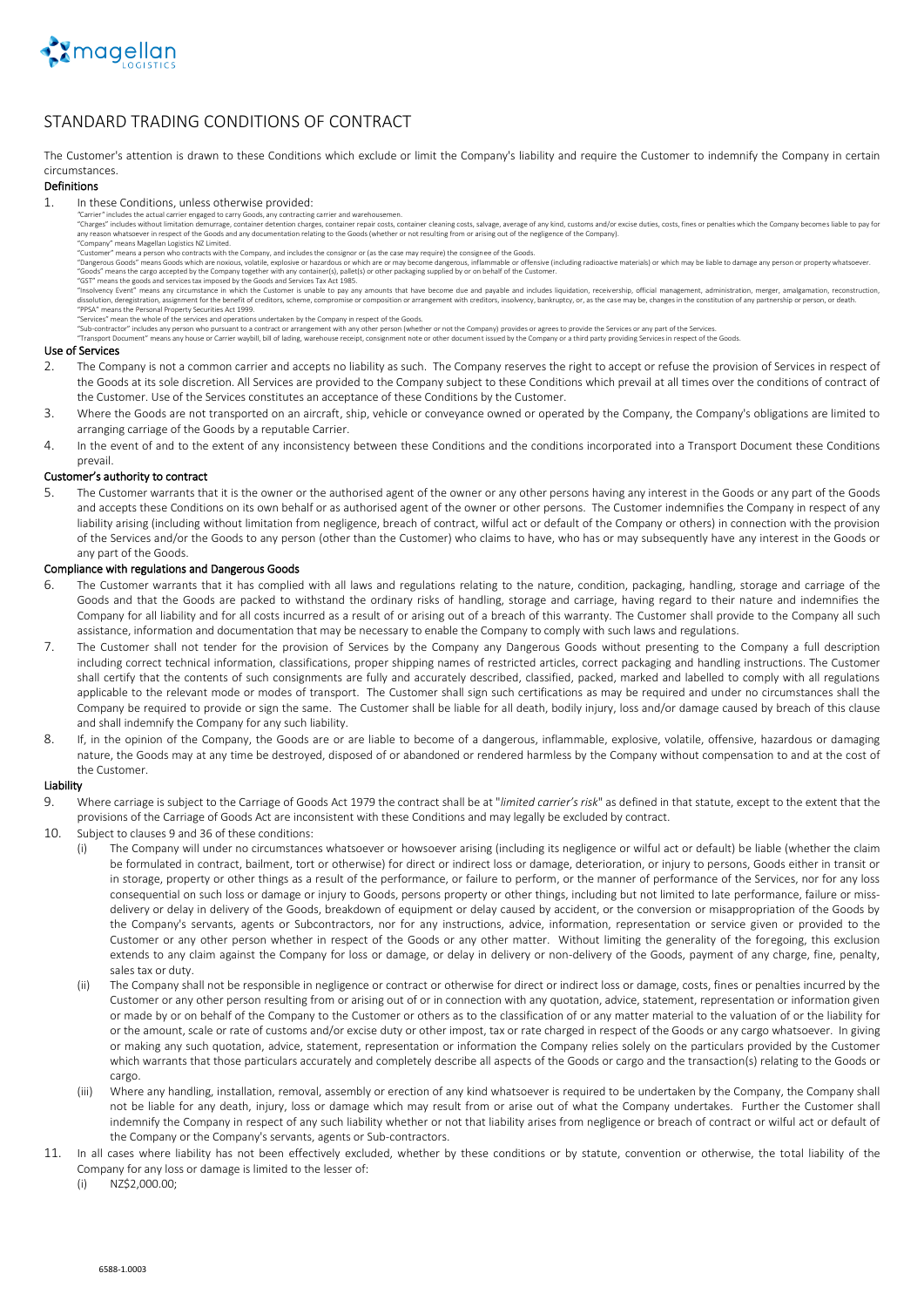

# STANDARD TRADING CONDITIONS OF CONTRACT

The Customer's attention is drawn to these Conditions which exclude or limit the Company's liability and require the Customer to indemnify the Company in certain circumstances.

#### Definitions

- 1. In these Conditions, unless otherwise provided:
	-
	- "Carrier" includes the actual carrier engaged to carry Goods, any contracting carrier and warehousemen.<br>"Charges" includes without limitation demanders detention charges, container repair costs, container cleaning costs, s
		- means Magellan Logistics NZ Limited.<br>"The means a person who contracts with the Company, and includes the consignor or (as the case may require) the consignee of the Goods.<br>"The case may require) the consignee of the Goods
	- "Dangerous Goods" means Goods which are noxious, volatile, explosive or hazardous or which are or may become dangerous, inflammable or offensive (including radioactive materials) or which may be liable to damage any person "Goods" means the cargo accepted by the Company together with any container(s), pallet(s) or other packaging supplied by or on behalf of the Customer.

"GST" means the goods and services tax imposed by the Goods and Services Tax Act 1985. "Insolvency Event" means any circumstance in which the Customer is unable to pay any amounts that have become due and payable and includes liquidation, recevership, official management, administration, merger, amalgamation

"PPSA" means the Personal Property Securities Act 1999. "Services" mean the whole of the services and operations undertaken by the Company in respect of the Goods.

"Sub-contractor" includes any person who pursuant to a contract or arrangement with any other person (whether or not the Company) provides or agrees to provide the Services or any part of the Services.<br>"Transport Document"

## Use of Services

- 2. The Company is not a common carrier and accepts no liability as such. The Company reserves the right to accept or refuse the provision of Services in respect of the Goods at its sole discretion. All Services are provided to the Company subject to these Conditions which prevail at all times over the conditions of contract of the Customer. Use of the Services constitutes an acceptance of these Conditions by the Customer.
- 3. Where the Goods are not transported on an aircraft, ship, vehicle or conveyance owned or operated by the Company, the Company's obligations are limited to arranging carriage of the Goods by a reputable Carrier.
- 4. In the event of and to the extent of any inconsistency between these Conditions and the conditions incorporated into a Transport Document these Conditions prevail.

## Customer's authority to contract

5. The Customer warrants that it is the owner or the authorised agent of the owner or any other persons having any interest in the Goods or any part of the Goods and accepts these Conditions on its own behalf or as authorised agent of the owner or other persons. The Customer indemnifies the Company in respect of any liability arising (including without limitation from negligence, breach of contract, wilful act or default of the Company or others) in connection with the provision of the Services and/or the Goods to any person (other than the Customer) who claims to have, who has or may subsequently have any interest in the Goods or any part of the Goods.

# Compliance with regulations and Dangerous Goods

- 6. The Customer warrants that it has complied with all laws and regulations relating to the nature, condition, packaging, handling, storage and carriage of the Goods and that the Goods are packed to withstand the ordinary risks of handling, storage and carriage, having regard to their nature and indemnifies the Company for all liability and for all costs incurred as a result of or arising out of a breach of this warranty. The Customer shall provide to the Company all such assistance, information and documentation that may be necessary to enable the Company to comply with such laws and regulations.
- 7. The Customer shall not tender for the provision of Services by the Company any Dangerous Goods without presenting to the Company a full description including correct technical information, classifications, proper shipping names of restricted articles, correct packaging and handling instructions. The Customer shall certify that the contents of such consignments are fully and accurately described, classified, packed, marked and labelled to comply with all regulations applicable to the relevant mode or modes of transport. The Customer shall sign such certifications as may be required and under no circumstances shall the Company be required to provide or sign the same. The Customer shall be liable for all death, bodily injury, loss and/or damage caused by breach of this clause and shall indemnify the Company for any such liability.
- 8. If, in the opinion of the Company, the Goods are or are liable to become of a dangerous, inflammable, explosive, volatile, offensive, hazardous or damaging nature, the Goods may at any time be destroyed, disposed of or abandoned or rendered harmless by the Company without compensation to and at the cost of the Customer.

# Liability

- 9. Where carriage is subject to the Carriage of Goods Act 1979 the contract shall be at "*limited carrier's risk*" as defined in that statute, except to the extent that the provisions of the Carriage of Goods Act are inconsistent with these Conditions and may legally be excluded by contract.
- 10. Subject to clauses 9 and 36 of these conditions:
	- The Company will under no circumstances whatsoever or howsoever arising (including its negligence or wilful act or default) be liable (whether the claim be formulated in contract, bailment, tort or otherwise) for direct or indirect loss or damage, deterioration, or injury to persons, Goods either in transit or in storage, property or other things as a result of the performance, or failure to perform, or the manner of performance of the Services, nor for any loss consequential on such loss or damage or injury to Goods, persons property or other things, including but not limited to late performance, failure or missdelivery or delay in delivery of the Goods, breakdown of equipment or delay caused by accident, or the conversion or misappropriation of the Goods by the Company's servants, agents or Subcontractors, nor for any instructions, advice, information, representation or service given or provided to the Customer or any other person whether in respect of the Goods or any other matter. Without limiting the generality of the foregoing, this exclusion extends to any claim against the Company for loss or damage, or delay in delivery or non-delivery of the Goods, payment of any charge, fine, penalty, sales tax or duty.
	- (ii) The Company shall not be responsible in negligence or contract or otherwise for direct or indirect loss or damage, costs, fines or penalties incurred by the Customer or any other person resulting from or arising out of or in connection with any quotation, advice, statement, representation or information given or made by or on behalf of the Company to the Customer or others as to the classification of or any matter material to the valuation of or the liability for or the amount, scale or rate of customs and/or excise duty or other impost, tax or rate charged in respect of the Goods or any cargo whatsoever. In giving or making any such quotation, advice, statement, representation or information the Company relies solely on the particulars provided by the Customer which warrants that those particulars accurately and completely describe all aspects of the Goods or cargo and the transaction(s) relating to the Goods or cargo.
	- (iii) Where any handling, installation, removal, assembly or erection of any kind whatsoever is required to be undertaken by the Company, the Company shall not be liable for any death, injury, loss or damage which may result from or arise out of what the Company undertakes. Further the Customer shall indemnify the Company in respect of any such liability whether or not that liability arises from negligence or breach of contract or wilful act or default of the Company or the Company's servants, agents or Sub-contractors.
- 11. In all cases where liability has not been effectively excluded, whether by these conditions or by statute, convention or otherwise, the total liability of the Company for any loss or damage is limited to the lesser of:

(i) NZ\$2,000.00;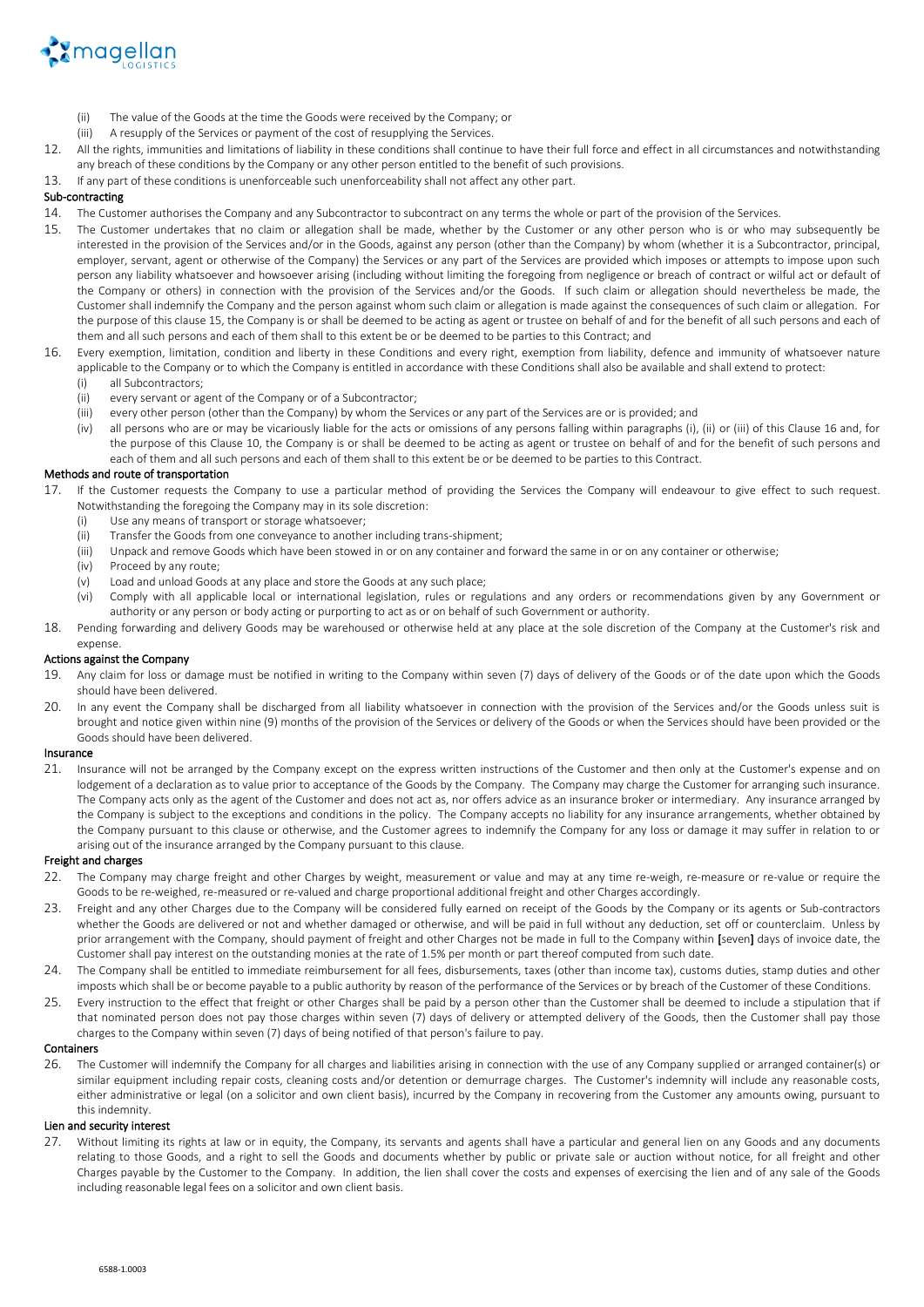

- (ii) The value of the Goods at the time the Goods were received by the Company; or
- (iii) A resupply of the Services or payment of the cost of resupplying the Services.
- 12. All the rights, immunities and limitations of liability in these conditions shall continue to have their full force and effect in all circumstances and notwithstanding any breach of these conditions by the Company or any other person entitled to the benefit of such provisions.
- 13. If any part of these conditions is unenforceable such unenforceability shall not affect any other part.

# Sub-contracting

14. The Customer authorises the Company and any Subcontractor to subcontract on any terms the whole or part of the provision of the Services.

- 15. The Customer undertakes that no claim or allegation shall be made, whether by the Customer or any other person who is or who may subsequently be interested in the provision of the Services and/or in the Goods, against any person (other than the Company) by whom (whether it is a Subcontractor, principal, employer, servant, agent or otherwise of the Company) the Services or any part of the Services are provided which imposes or attempts to impose upon such person any liability whatsoever and howsoever arising (including without limiting the foregoing from negligence or breach of contract or wilful act or default of the Company or others) in connection with the provision of the Services and/or the Goods. If such claim or allegation should nevertheless be made, the Customer shall indemnify the Company and the person against whom such claim or allegation is made against the consequences of such claim or allegation. For the purpose of this clause 15, the Company is or shall be deemed to be acting as agent or trustee on behalf of and for the benefit of all such persons and each of them and all such persons and each of them shall to this extent be or be deemed to be parties to this Contract; and
- 16. Every exemption, limitation, condition and liberty in these Conditions and every right, exemption from liability, defence and immunity of whatsoever nature applicable to the Company or to which the Company is entitled in accordance with these Conditions shall also be available and shall extend to protect:
	- (i) all Subcontractors;
	- (ii) every servant or agent of the Company or of a Subcontractor;
	- (iii) every other person (other than the Company) by whom the Services or any part of the Services are or is provided; and
	- (iv) all persons who are or may be vicariously liable for the acts or omissions of any persons falling within paragraphs (i), (ii) or (iii) of this Clause 16 and, for the purpose of this Clause 10, the Company is or shall be deemed to be acting as agent or trustee on behalf of and for the benefit of such persons and each of them and all such persons and each of them shall to this extent be or be deemed to be parties to this Contract.

## Methods and route of transportation

- 17. If the Customer requests the Company to use a particular method of providing the Services the Company will endeavour to give effect to such request. Notwithstanding the foregoing the Company may in its sole discretion:
	- (i) Use any means of transport or storage whatsoever;
	- (ii) Transfer the Goods from one conveyance to another including trans-shipment;
	- (iii) Unpack and remove Goods which have been stowed in or on any container and forward the same in or on any container or otherwise;
	- (iv) Proceed by any route;
	- (v) Load and unload Goods at any place and store the Goods at any such place;
	- (vi) Comply with all applicable local or international legislation, rules or regulations and any orders or recommendations given by any Government or authority or any person or body acting or purporting to act as or on behalf of such Government or authority.
- 18. Pending forwarding and delivery Goods may be warehoused or otherwise held at any place at the sole discretion of the Company at the Customer's risk and expense

# Actions against the Company

- 19. Any claim for loss or damage must be notified in writing to the Company within seven (7) days of delivery of the Goods or of the date upon which the Goods should have been delivered.
- 20. In any event the Company shall be discharged from all liability whatsoever in connection with the provision of the Services and/or the Goods unless suit is brought and notice given within nine (9) months of the provision of the Services or delivery of the Goods or when the Services should have been provided or the Goods should have been delivered.

#### Insurance

21. Insurance will not be arranged by the Company except on the express written instructions of the Customer and then only at the Customer's expense and on lodgement of a declaration as to value prior to acceptance of the Goods by the Company. The Company may charge the Customer for arranging such insurance. The Company acts only as the agent of the Customer and does not act as, nor offers advice as an insurance broker or intermediary. Any insurance arranged by the Company is subject to the exceptions and conditions in the policy. The Company accepts no liability for any insurance arrangements, whether obtained by the Company pursuant to this clause or otherwise, and the Customer agrees to indemnify the Company for any loss or damage it may suffer in relation to or arising out of the insurance arranged by the Company pursuant to this clause.

#### Freight and charges

- 22. The Company may charge freight and other Charges by weight, measurement or value and may at any time re-weigh, re-measure or re-value or require the Goods to be re-weighed, re-measured or re-valued and charge proportional additional freight and other Charges accordingly.
- 23. Freight and any other Charges due to the Company will be considered fully earned on receipt of the Goods by the Company or its agents or Sub-contractors whether the Goods are delivered or not and whether damaged or otherwise, and will be paid in full without any deduction, set off or counterclaim. Unless by prior arrangement with the Company, should payment of freight and other Charges not be made in full to the Company within [seven] days of invoice date, the Customer shall pay interest on the outstanding monies at the rate of 1.5% per month or part thereof computed from such date.
- 24. The Company shall be entitled to immediate reimbursement for all fees, disbursements, taxes (other than income tax), customs duties, stamp duties and other imposts which shall be or become payable to a public authority by reason of the performance of the Services or by breach of the Customer of these Conditions.
- 25. Every instruction to the effect that freight or other Charges shall be paid by a person other than the Customer shall be deemed to include a stipulation that if that nominated person does not pay those charges within seven (7) days of delivery or attempted delivery of the Goods, then the Customer shall pay those charges to the Company within seven (7) days of being notified of that person's failure to pay.

## Containers

26. The Customer will indemnify the Company for all charges and liabilities arising in connection with the use of any Company supplied or arranged container(s) or similar equipment including repair costs, cleaning costs and/or detention or demurrage charges. The Customer's indemnity will include any reasonable costs, either administrative or legal (on a solicitor and own client basis), incurred by the Company in recovering from the Customer any amounts owing, pursuant to this indemnity.

# Lien and security interest

27. Without limiting its rights at law or in equity, the Company, its servants and agents shall have a particular and general lien on any Goods and any documents relating to those Goods, and a right to sell the Goods and documents whether by public or private sale or auction without notice, for all freight and other Charges payable by the Customer to the Company. In addition, the lien shall cover the costs and expenses of exercising the lien and of any sale of the Goods including reasonable legal fees on a solicitor and own client basis.